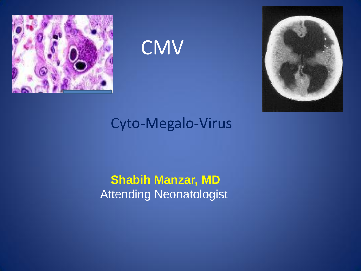

**CMV** 



#### Cyto-Megalo-Virus

#### **Shabih Manzar, MD** Attending Neonatologist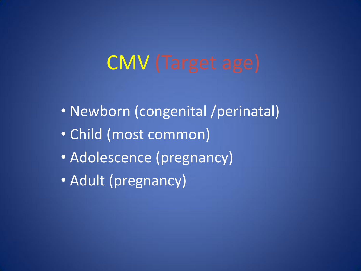# CMV (Target age)

- Newborn (congenital /perinatal)
- Child (most common)
- Adolescence (pregnancy)
- Adult (pregnancy)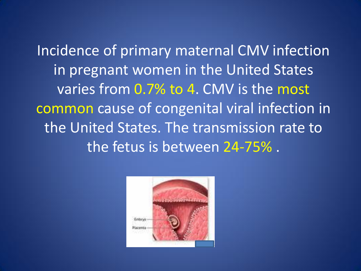Incidence of primary maternal CMV infection in pregnant women in the United States varies from 0.7% to 4. CMV is the most common cause of congenital viral infection in the United States. The transmission rate to the fetus is between 24-75% .

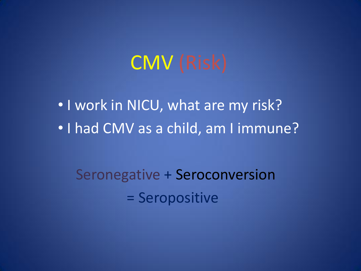# CMV (Risk)

• I work in NICU, what are my risk? • I had CMV as a child, am I immune?

Seronegative + Seroconversion = Seropositive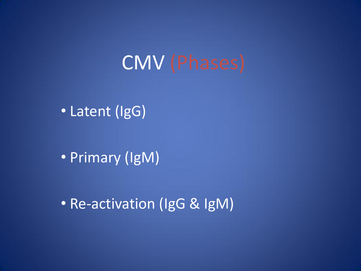# CMV (Phases)

• Latent (IgG)

• Primary (IgM)

• Re-activation (IgG & IgM)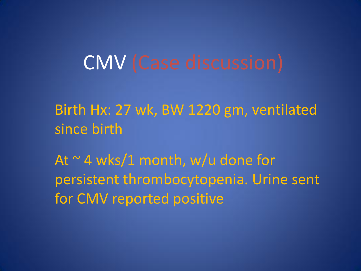# CMV (Case discussion)

Birth Hx: 27 wk, BW 1220 gm, ventilated since birth

At  $\sim$  4 wks/1 month, w/u done for persistent thrombocytopenia. Urine sent for CMV reported positive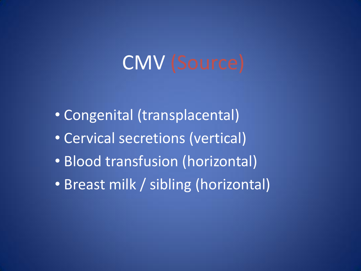# CMV (Source)

- Congenital (transplacental)
- Cervical secretions (vertical)
- Blood transfusion (horizontal)
- Breast milk / sibling (horizontal)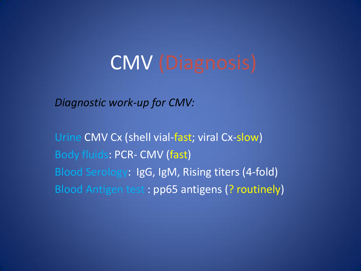# CMV (Diagnosis)

*Diagnostic work-up for CMV:*

Urine CMV Cx (shell vial-fast; viral Cx-slow) Body fluids: PCR- CMV (fast) Blood Serology: IgG, IgM, Rising titers (4-fold) Blood Antigen test : pp65 antigens (? routinely)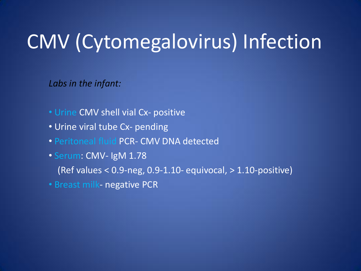*Labs in the infant:*

- Urine CMV shell vial Cx- positive
- Urine viral tube Cx- pending
- Peritoneal fluid PCR- CMV DNA detected
- Serum: CMV- IgM 1.78

(Ref values  $< 0.9$ -neg, 0.9-1.10- equivocal,  $> 1.10$ -positive)

• Breast milk- negative PCR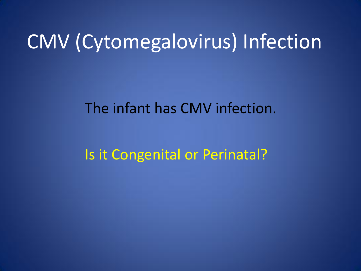#### The infant has CMV infection.

#### Is it Congenital or Perinatal?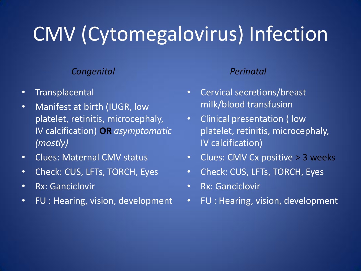#### *Congenital*

- Transplacental
- Manifest at birth (IUGR, low platelet, retinitis, microcephaly, IV calcification) **OR** *asymptomatic (mostly)*
- Clues: Maternal CMV status
- Check: CUS, LFTs, TORCH, Eyes
- Rx: Ganciclovir
- FU : Hearing, vision, development

#### *Perinatal*

- Cervical secretions/breast milk/blood transfusion
- Clinical presentation ( low platelet, retinitis, microcephaly, IV calcification)
- Clues: CMV Cx positive > 3 weeks
- Check: CUS, LFTs, TORCH, Eyes
- Rx: Ganciclovir
- FU : Hearing, vision, development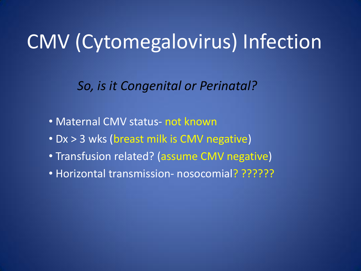*So, is it Congenital or Perinatal?*

- Maternal CMV status- not known
- Dx > 3 wks (breast milk is CMV negative)
- Transfusion related? (assume CMV negative)
- Horizontal transmission- nosocomial? ??????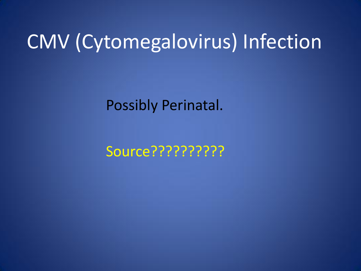Possibly Perinatal.

Source??????????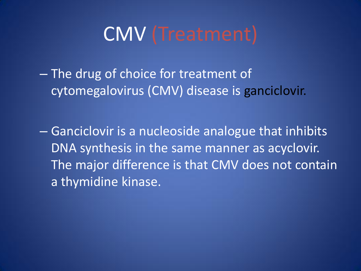## CMV (Treatment)

– The drug of choice for treatment of cytomegalovirus (CMV) disease is ganciclovir.

– Ganciclovir is a nucleoside analogue that inhibits DNA synthesis in the same manner as acyclovir. The major difference is that CMV does not contain a thymidine kinase.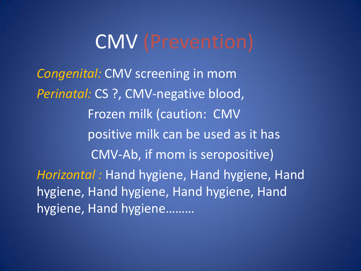### CMV (Prevention)

*Congenital:* CMV screening in mom *Perinatal:* CS ?, CMV-negative blood, Frozen milk (caution: CMV positive milk can be used as it has CMV-Ab, if mom is seropositive) *Horizontal :* Hand hygiene, Hand hygiene, Hand hygiene, Hand hygiene, Hand hygiene, Hand hygiene, Hand hygiene………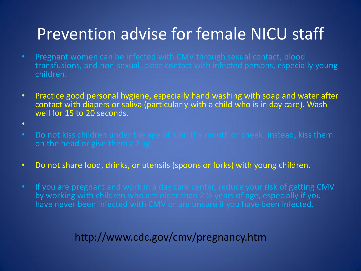### Prevention advise for female NICU staff

- Pregnant women can be infected with CMV through sexual contact, blood transfusions, and non-sexual, close contact with infected persons, especially young children.
- Practice good personal hygiene, especially hand washing with soap and water after contact with diapers or saliva (particularly with a child who is in day care). Wash well for 15 to 20 seconds.
- $\bullet$
- Do not kiss children under the age of 6 on the mouth or cheek. Instead, kiss them on the head or give them a hug.
- Do not share food, drinks, or utensils (spoons or forks) with young children.
- If you are pregnant and work in a day care center, reduce your risk of getting CMV by working with children who are older than 2 1/2 years of age, especially if you have never been infected with CMV or are unsure if you have been infected.

#### http://www.cdc.gov/cmv/pregnancy.htm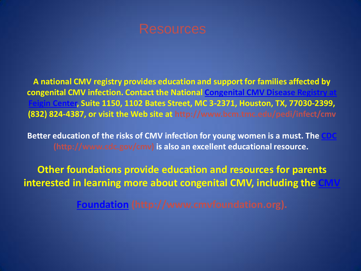

**A national CMV registry provides education and support for families affected by congenital CMV infection. Contact the National Congenital CMV Disease Registry at Feigin Center, Suite 1150, 1102 Bates Street, MC 3-2371, Houston, TX, 77030-2399, (832) 824-4387, or visit the Web site at http://www.bcm.tmc.edu/pedi/infect/cmv**

**Better education of the risks of CMV infection for young women is a must. The (http://www.cdc.gov/cmv) is also an excellent educational resource.**

**Other foundations provide education and resources for parents interested in learning more about congenital CMV, including the** 

**[Foundation](http://www.cmvfoundation.org/) (http://www.cmvfoundation.org).**